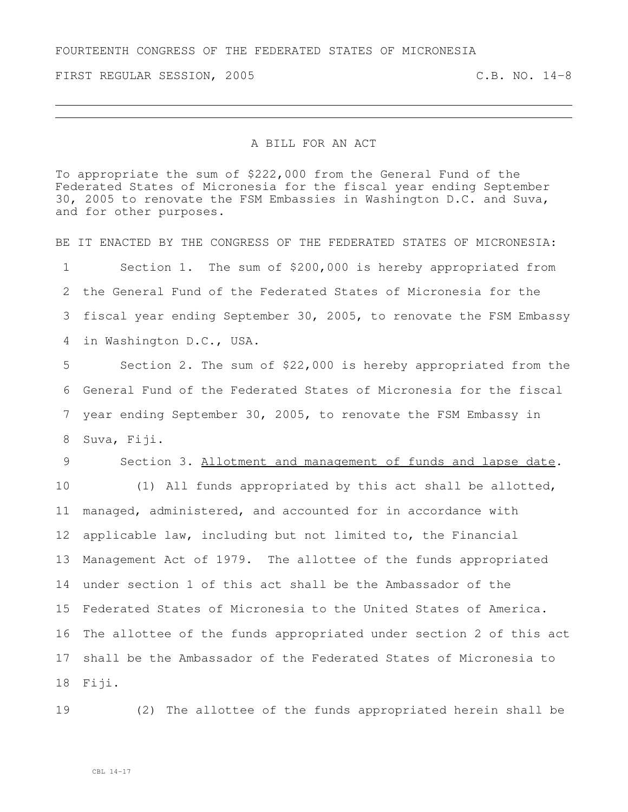FOURTEENTH CONGRESS OF THE FEDERATED STATES OF MICRONESIA

FIRST REGULAR SESSION, 2005 C.B. NO. 14-8

## A BILL FOR AN ACT

To appropriate the sum of \$222,000 from the General Fund of the Federated States of Micronesia for the fiscal year ending September 30, 2005 to renovate the FSM Embassies in Washington D.C. and Suva, and for other purposes.

BE IT ENACTED BY THE CONGRESS OF THE FEDERATED STATES OF MICRONESIA: Section 1. The sum of \$200,000 is hereby appropriated from the General Fund of the Federated States of Micronesia for the fiscal year ending September 30, 2005, to renovate the FSM Embassy

in Washington D.C., USA.

 Section 2. The sum of \$22,000 is hereby appropriated from the General Fund of the Federated States of Micronesia for the fiscal year ending September 30, 2005, to renovate the FSM Embassy in Suva, Fiji.

## Section 3. Allotment and management of funds and lapse date.

 (1) All funds appropriated by this act shall be allotted, managed, administered, and accounted for in accordance with applicable law, including but not limited to, the Financial Management Act of 1979. The allottee of the funds appropriated under section 1 of this act shall be the Ambassador of the Federated States of Micronesia to the United States of America. The allottee of the funds appropriated under section 2 of this act shall be the Ambassador of the Federated States of Micronesia to Fiji.

(2) The allottee of the funds appropriated herein shall be